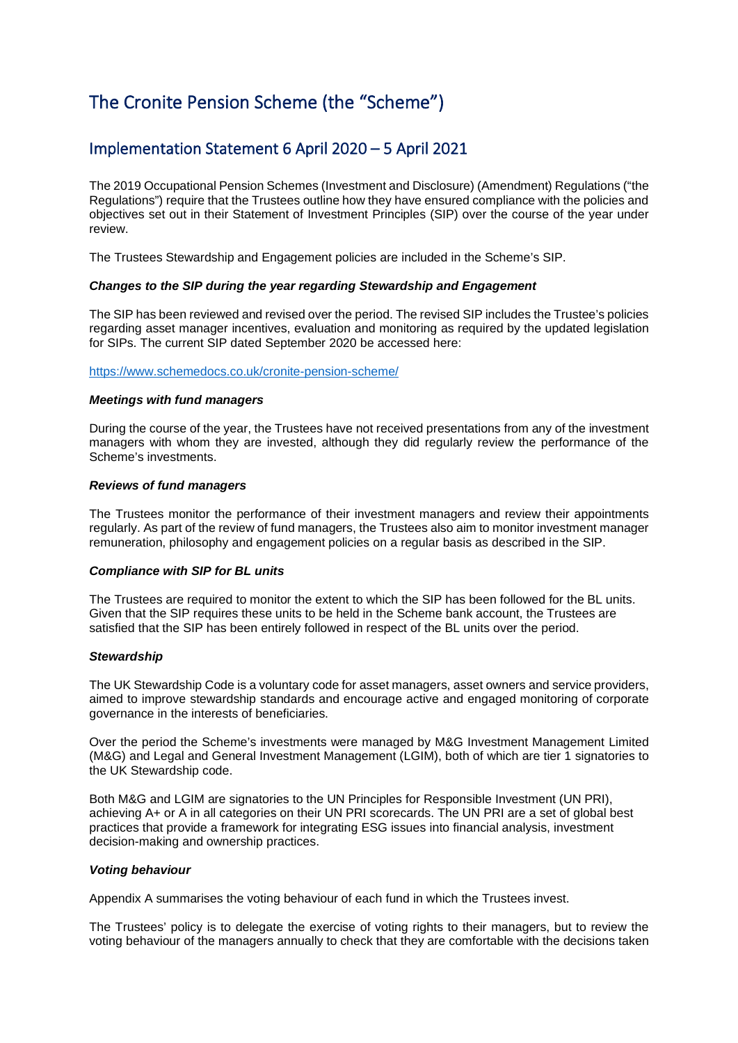# The Cronite Pension Scheme (the "Scheme")

### Implementation Statement 6 April 2020 – 5 April 2021

The 2019 Occupational Pension Schemes (Investment and Disclosure) (Amendment) Regulations ("the Regulations") require that the Trustees outline how they have ensured compliance with the policies and objectives set out in their Statement of Investment Principles (SIP) over the course of the year under review.

The Trustees Stewardship and Engagement policies are included in the Scheme's SIP.

### *Changes to the SIP during the year regarding Stewardship and Engagement*

The SIP has been reviewed and revised over the period. The revised SIP includes the Trustee's policies regarding asset manager incentives, evaluation and monitoring as required by the updated legislation for SIPs. The current SIP dated September 2020 be accessed here:

<https://www.schemedocs.co.uk/cronite-pension-scheme/>

### *Meetings with fund managers*

During the course of the year, the Trustees have not received presentations from any of the investment managers with whom they are invested, although they did regularly review the performance of the Scheme's investments.

### *Reviews of fund managers*

The Trustees monitor the performance of their investment managers and review their appointments regularly. As part of the review of fund managers, the Trustees also aim to monitor investment manager remuneration, philosophy and engagement policies on a regular basis as described in the SIP.

### *Compliance with SIP for BL units*

The Trustees are required to monitor the extent to which the SIP has been followed for the BL units. Given that the SIP requires these units to be held in the Scheme bank account, the Trustees are satisfied that the SIP has been entirely followed in respect of the BL units over the period.

### *Stewardship*

The UK Stewardship Code is a voluntary code for asset managers, asset owners and service providers, aimed to improve stewardship standards and encourage active and engaged monitoring of corporate governance in the interests of beneficiaries.

Over the period the Scheme's investments were managed by M&G Investment Management Limited (M&G) and Legal and General Investment Management (LGIM), both of which are tier 1 signatories to the UK Stewardship code.

Both M&G and LGIM are signatories to the UN Principles for Responsible Investment (UN PRI), achieving A+ or A in all categories on their UN PRI scorecards. The UN PRI are a set of global best practices that provide a framework for integrating ESG issues into financial analysis, investment decision-making and ownership practices.

### *Voting behaviour*

Appendix A summarises the voting behaviour of each fund in which the Trustees invest.

The Trustees' policy is to delegate the exercise of voting rights to their managers, but to review the voting behaviour of the managers annually to check that they are comfortable with the decisions taken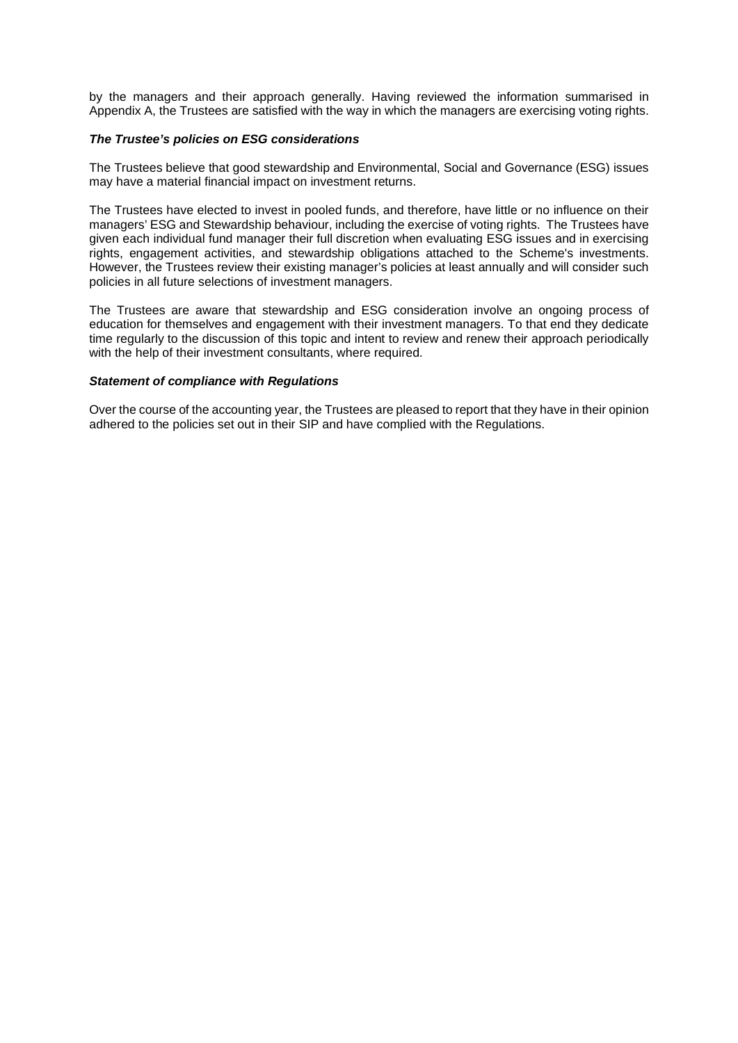by the managers and their approach generally. Having reviewed the information summarised in Appendix A, the Trustees are satisfied with the way in which the managers are exercising voting rights.

### *The Trustee's policies on ESG considerations*

The Trustees believe that good stewardship and Environmental, Social and Governance (ESG) issues may have a material financial impact on investment returns.

The Trustees have elected to invest in pooled funds, and therefore, have little or no influence on their managers' ESG and Stewardship behaviour, including the exercise of voting rights. The Trustees have given each individual fund manager their full discretion when evaluating ESG issues and in exercising rights, engagement activities, and stewardship obligations attached to the Scheme's investments. However, the Trustees review their existing manager's policies at least annually and will consider such policies in all future selections of investment managers.

The Trustees are aware that stewardship and ESG consideration involve an ongoing process of education for themselves and engagement with their investment managers. To that end they dedicate time regularly to the discussion of this topic and intent to review and renew their approach periodically with the help of their investment consultants, where required.

### *Statement of compliance with Regulations*

Over the course of the accounting year, the Trustees are pleased to report that they have in their opinion adhered to the policies set out in their SIP and have complied with the Regulations.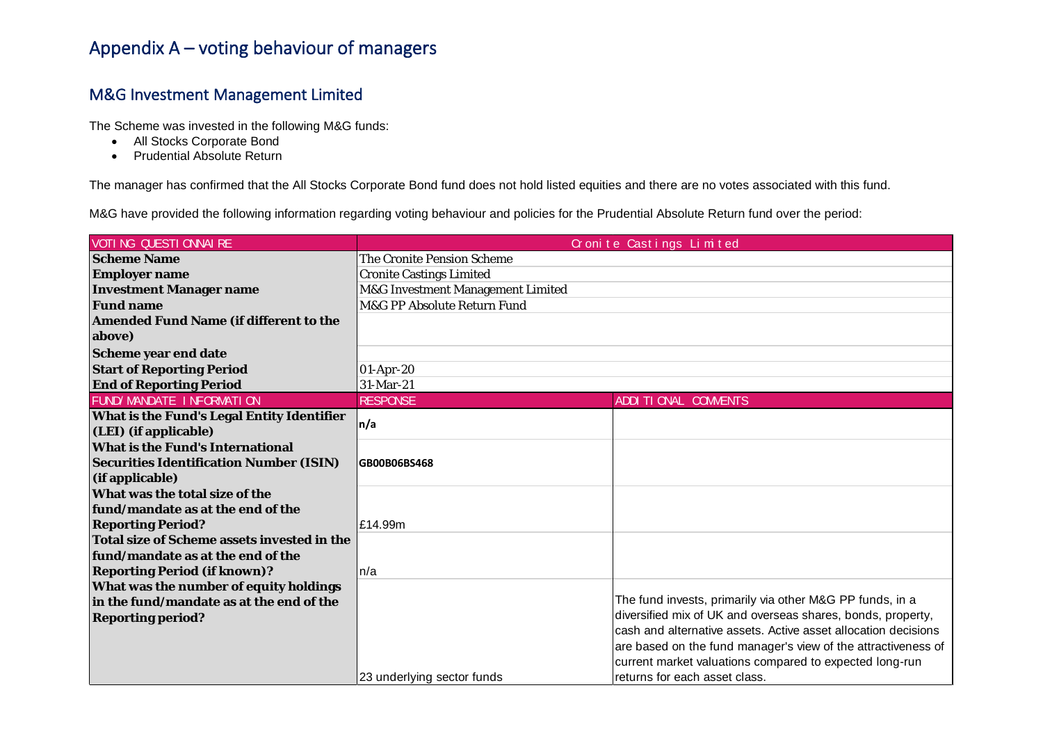## Appendix A – voting behaviour of managers

### M&G Investment Management Limited

The Scheme was invested in the following M&G funds:

- All Stocks Corporate Bond
- Prudential Absolute Return

The manager has confirmed that the All Stocks Corporate Bond fund does not hold listed equities and there are no votes associated with this fund.

M&G have provided the following information regarding voting behaviour and policies for the Prudential Absolute Return fund over the period:

| <b>VOTI NG QUESTI CNNAI RE</b>                 | Cronite Castings Limited          |                                                                |
|------------------------------------------------|-----------------------------------|----------------------------------------------------------------|
| <b>Scheme Name</b>                             | The Cronite Pension Scheme        |                                                                |
| <b>Employer name</b>                           | <b>Cronite Castings Limited</b>   |                                                                |
| <b>Investment Manager name</b>                 | M&G Investment Management Limited |                                                                |
| <b>Fund name</b>                               | M&G PP Absolute Return Fund       |                                                                |
| <b>Amended Fund Name (if different to the</b>  |                                   |                                                                |
| above)                                         |                                   |                                                                |
| Scheme year end date                           |                                   |                                                                |
| <b>Start of Reporting Period</b>               | 01-Apr-20                         |                                                                |
| <b>End of Reporting Period</b>                 | 31-Mar-21                         |                                                                |
| FUND/ MANDATE I NFORMATI ON                    | <b>RESPONSE</b>                   | ADDI TI ONAL COMMENTS                                          |
| What is the Fund's Legal Entity Identifier     | n/a                               |                                                                |
| (LEI) (if applicable)                          |                                   |                                                                |
| <b>What is the Fund's International</b>        |                                   |                                                                |
| <b>Securities Identification Number (ISIN)</b> | GB00B06BS468                      |                                                                |
| (if applicable)                                |                                   |                                                                |
| What was the total size of the                 |                                   |                                                                |
| fund/mandate as at the end of the              |                                   |                                                                |
| <b>Reporting Period?</b>                       | £14.99m                           |                                                                |
| Total size of Scheme assets invested in the    |                                   |                                                                |
| fund/mandate as at the end of the              |                                   |                                                                |
| <b>Reporting Period (if known)?</b>            | ln/a                              |                                                                |
| What was the number of equity holdings         |                                   |                                                                |
| in the fund/mandate as at the end of the       |                                   | The fund invests, primarily via other M&G PP funds, in a       |
| <b>Reporting period?</b>                       |                                   | diversified mix of UK and overseas shares, bonds, property,    |
|                                                |                                   | cash and alternative assets. Active asset allocation decisions |
|                                                |                                   | are based on the fund manager's view of the attractiveness of  |
|                                                |                                   | current market valuations compared to expected long-run        |
|                                                | 23 underlying sector funds        | returns for each asset class.                                  |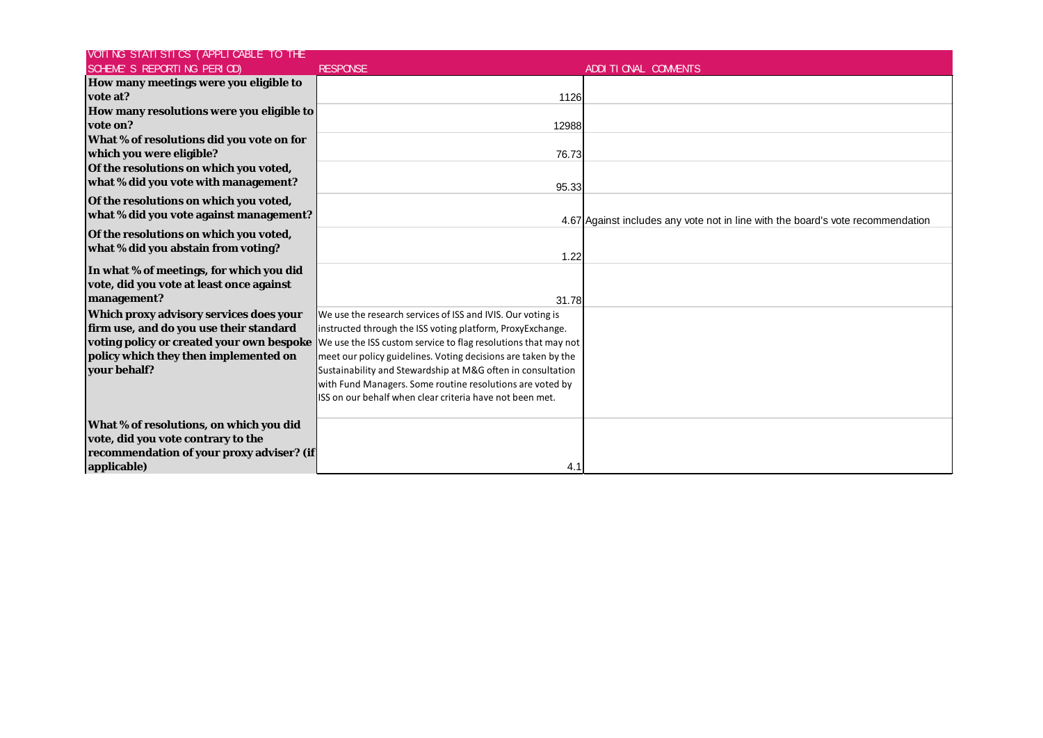| VOTI NG STATI STICS (APPLI CABLE TO THE   |                                                                                                           |                                                                                 |
|-------------------------------------------|-----------------------------------------------------------------------------------------------------------|---------------------------------------------------------------------------------|
| SCHEME'S REPORTING PERIOD)                | <b>RESPONSE</b>                                                                                           | ADDI TI CNAL COMMENTS                                                           |
| How many meetings were you eligible to    |                                                                                                           |                                                                                 |
| vote at?                                  | 1126                                                                                                      |                                                                                 |
| How many resolutions were you eligible to |                                                                                                           |                                                                                 |
| vote on?                                  | 12988                                                                                                     |                                                                                 |
| What % of resolutions did you vote on for |                                                                                                           |                                                                                 |
| which you were eligible?                  | 76.73                                                                                                     |                                                                                 |
| Of the resolutions on which you voted,    |                                                                                                           |                                                                                 |
| what % did you vote with management?      | 95.33                                                                                                     |                                                                                 |
| Of the resolutions on which you voted,    |                                                                                                           |                                                                                 |
| what % did you vote against management?   |                                                                                                           |                                                                                 |
|                                           |                                                                                                           | 4.67 Against includes any vote not in line with the board's vote recommendation |
| Of the resolutions on which you voted,    |                                                                                                           |                                                                                 |
| what % did you abstain from voting?       | 1.22                                                                                                      |                                                                                 |
| In what % of meetings, for which you did  |                                                                                                           |                                                                                 |
| vote, did you vote at least once against  |                                                                                                           |                                                                                 |
| management?                               | 31.78                                                                                                     |                                                                                 |
| Which proxy advisory services does your   | We use the research services of ISS and IVIS. Our voting is                                               |                                                                                 |
| firm use, and do you use their standard   | instructed through the ISS voting platform, ProxyExchange.                                                |                                                                                 |
|                                           | voting policy or created your own bespoke  We use the ISS custom service to flag resolutions that may not |                                                                                 |
| policy which they then implemented on     | meet our policy guidelines. Voting decisions are taken by the                                             |                                                                                 |
| your behalf?                              | Sustainability and Stewardship at M&G often in consultation                                               |                                                                                 |
|                                           | with Fund Managers. Some routine resolutions are voted by                                                 |                                                                                 |
|                                           | ISS on our behalf when clear criteria have not been met.                                                  |                                                                                 |
|                                           |                                                                                                           |                                                                                 |
| What % of resolutions, on which you did   |                                                                                                           |                                                                                 |
| vote, did you vote contrary to the        |                                                                                                           |                                                                                 |
| recommendation of your proxy adviser? (if |                                                                                                           |                                                                                 |
| applicable)                               | 4.1                                                                                                       |                                                                                 |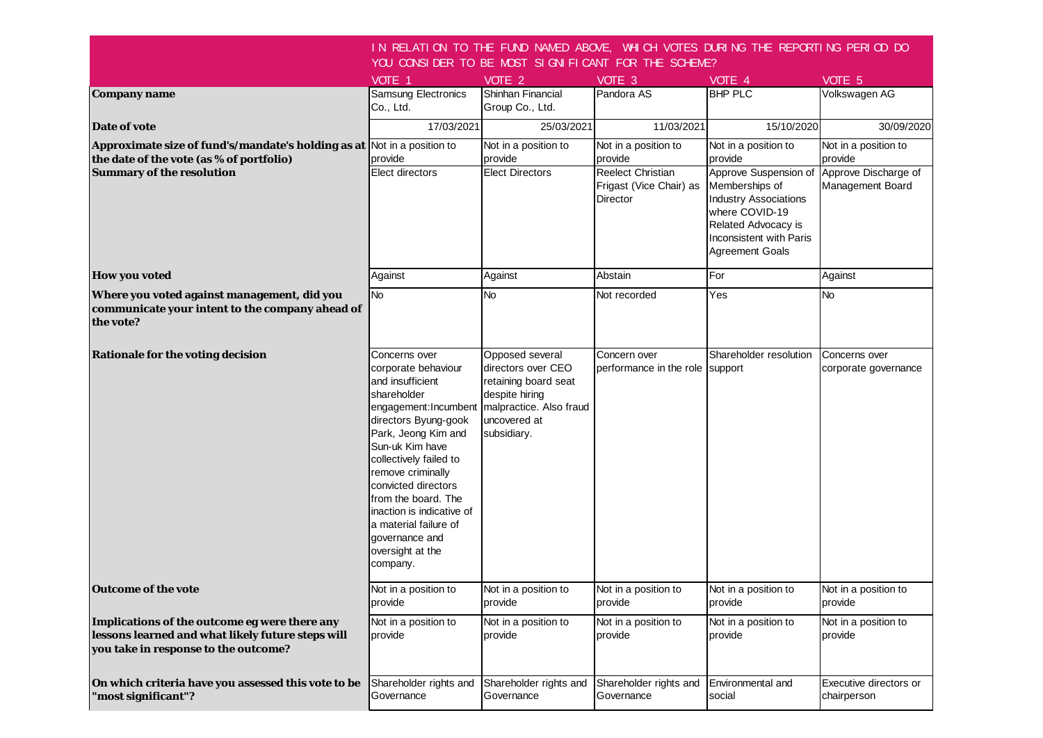|                                                                                                                                            |                                                                                                                                                                                                                                                                                                                                                                         | IN RELATION TO THE FUND NAMED ABOVE, WHICH VOTES DURING THE REPORTING PERIOD DO<br>YOU CONSIDER TO BE MOST SIGNIFICANT FOR THE SCHEME?    |                                                          |                                                                                                                                                                       |                                          |
|--------------------------------------------------------------------------------------------------------------------------------------------|-------------------------------------------------------------------------------------------------------------------------------------------------------------------------------------------------------------------------------------------------------------------------------------------------------------------------------------------------------------------------|-------------------------------------------------------------------------------------------------------------------------------------------|----------------------------------------------------------|-----------------------------------------------------------------------------------------------------------------------------------------------------------------------|------------------------------------------|
|                                                                                                                                            | VOTE 1                                                                                                                                                                                                                                                                                                                                                                  | VOTE 2                                                                                                                                    | VOTE 3                                                   | VOTE 4                                                                                                                                                                | VOTE 5                                   |
| Company name                                                                                                                               | <b>Samsung Electronics</b>                                                                                                                                                                                                                                                                                                                                              | Shinhan Financial                                                                                                                         | Pandora AS                                               | <b>BHP PLC</b>                                                                                                                                                        | Volkswagen AG                            |
|                                                                                                                                            | Co., Ltd.                                                                                                                                                                                                                                                                                                                                                               | Group Co., Ltd.                                                                                                                           |                                                          |                                                                                                                                                                       |                                          |
| Date of vote                                                                                                                               | 17/03/2021                                                                                                                                                                                                                                                                                                                                                              | 25/03/2021                                                                                                                                | 11/03/2021                                               | 15/10/2020                                                                                                                                                            | 30/09/2020                               |
| Approximate size of fund's/mandate's holding as at Not in a position to                                                                    |                                                                                                                                                                                                                                                                                                                                                                         | Not in a position to                                                                                                                      | Not in a position to                                     | Not in a position to                                                                                                                                                  | Not in a position to                     |
| the date of the vote (as % of portfolio)                                                                                                   | provide                                                                                                                                                                                                                                                                                                                                                                 | provide                                                                                                                                   | provide                                                  | provide                                                                                                                                                               | provide                                  |
| Summary of the resolution                                                                                                                  | Elect directors                                                                                                                                                                                                                                                                                                                                                         | <b>Elect Directors</b>                                                                                                                    | Reelect Christian<br>Frigast (Vice Chair) as<br>Director | Approve Suspension of<br>Memberships of<br><b>Industry Associations</b><br>where COVID-19<br>Related Advocacy is<br>Inconsistent with Paris<br><b>Agreement Goals</b> | Approve Discharge of<br>Management Board |
| <b>How you voted</b>                                                                                                                       | Against                                                                                                                                                                                                                                                                                                                                                                 | Against                                                                                                                                   | Abstain                                                  | For                                                                                                                                                                   | Against                                  |
| Where you voted against management, did you<br>communicate your intent to the company ahead of<br>the vote?                                | <b>No</b>                                                                                                                                                                                                                                                                                                                                                               | No                                                                                                                                        | Not recorded                                             | Yes                                                                                                                                                                   | <b>No</b>                                |
| <b>Rationale for the voting decision</b>                                                                                                   | Concerns over<br>corporate behaviour<br>and insufficient<br>shareholder<br>engagement: Incumbent<br>directors Byung-gook<br>Park, Jeong Kim and<br>Sun-uk Kim have<br>collectively failed to<br>remove criminally<br>convicted directors<br>from the board. The<br>inaction is indicative of<br>a material failure of<br>governance and<br>oversight at the<br>company. | Opposed several<br>directors over CEO<br>retaining board seat<br>despite hiring<br>malpractice. Also fraud<br>uncovered at<br>subsidiary. | Concern over<br>performance in the role support          | Shareholder resolution                                                                                                                                                | Concerns over<br>corporate governance    |
| <b>Outcome of the vote</b>                                                                                                                 | Not in a position to<br>provide                                                                                                                                                                                                                                                                                                                                         | Not in a position to<br>provide                                                                                                           | Not in a position to<br>provide                          | Not in a position to<br>provide                                                                                                                                       | Not in a position to<br>provide          |
| Implications of the outcome eg were there any<br>lessons learned and what likely future steps will<br>you take in response to the outcome? | Not in a position to<br>provide                                                                                                                                                                                                                                                                                                                                         | Not in a position to<br>provide                                                                                                           | Not in a position to<br>provide                          | Not in a position to<br>provide                                                                                                                                       | Not in a position to<br>provide          |
| On which criteria have you assessed this vote to be<br>"most significant"?                                                                 | Shareholder rights and<br>Governance                                                                                                                                                                                                                                                                                                                                    | Shareholder rights and<br>Governance                                                                                                      | Shareholder rights and<br>Governance                     | Environmental and<br>social                                                                                                                                           | Executive directors or<br>chairperson    |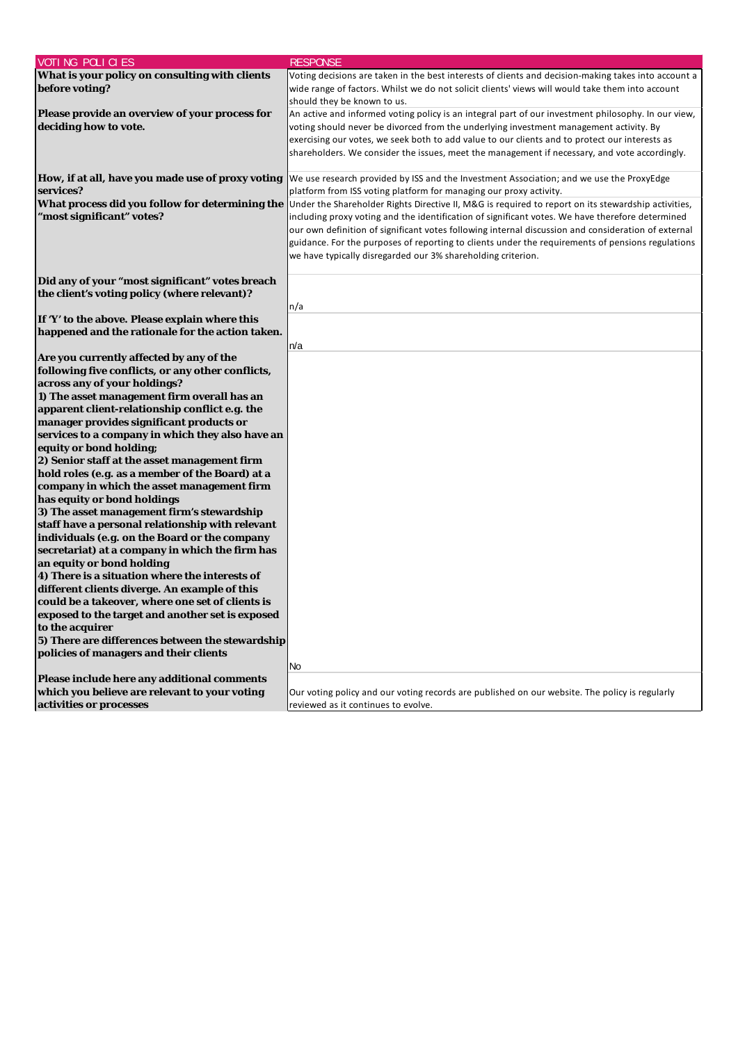| VOTI NG POLI CI ES                                | <b>RESPONSE</b>                                                                                      |
|---------------------------------------------------|------------------------------------------------------------------------------------------------------|
| What is your policy on consulting with clients    | Voting decisions are taken in the best interests of clients and decision-making takes into account a |
| before voting?                                    | wide range of factors. Whilst we do not solicit clients' views will would take them into account     |
|                                                   | should they be known to us.                                                                          |
| Please provide an overview of your process for    | An active and informed voting policy is an integral part of our investment philosophy. In our view,  |
| deciding how to vote.                             | voting should never be divorced from the underlying investment management activity. By               |
|                                                   | exercising our votes, we seek both to add value to our clients and to protect our interests as       |
|                                                   | shareholders. We consider the issues, meet the management if necessary, and vote accordingly.        |
|                                                   |                                                                                                      |
| How, if at all, have you made use of proxy voting | We use research provided by ISS and the Investment Association; and we use the ProxyEdge             |
| services?                                         | platform from ISS voting platform for managing our proxy activity.                                   |
| What process did you follow for determining the   | Under the Shareholder Rights Directive II, M&G is required to report on its stewardship activities,  |
| 'most significant" votes?                         | including proxy voting and the identification of significant votes. We have therefore determined     |
|                                                   | our own definition of significant votes following internal discussion and consideration of external  |
|                                                   | guidance. For the purposes of reporting to clients under the requirements of pensions regulations    |
|                                                   | we have typically disregarded our 3% shareholding criterion.                                         |
|                                                   |                                                                                                      |
| Did any of your "most significant" votes breach   |                                                                                                      |
| the client's voting policy (where relevant)?      |                                                                                                      |
|                                                   | n/a                                                                                                  |
| If 'Y' to the above. Please explain where this    |                                                                                                      |
| happened and the rationale for the action taken.  |                                                                                                      |
|                                                   | n/a                                                                                                  |
| Are you currently affected by any of the          |                                                                                                      |
| following five conflicts, or any other conflicts, |                                                                                                      |
| across any of your holdings?                      |                                                                                                      |
| 1) The asset management firm overall has an       |                                                                                                      |
| apparent client-relationship conflict e.g. the    |                                                                                                      |
| manager provides significant products or          |                                                                                                      |
| services to a company in which they also have an  |                                                                                                      |
| equity or bond holding;                           |                                                                                                      |
| 2) Senior staff at the asset management firm      |                                                                                                      |
| hold roles (e.g. as a member of the Board) at a   |                                                                                                      |
| company in which the asset management firm        |                                                                                                      |
| has equity or bond holdings                       |                                                                                                      |
| 3) The asset management firm's stewardship        |                                                                                                      |
| staff have a personal relationship with relevant  |                                                                                                      |
| individuals (e.g. on the Board or the company     |                                                                                                      |
| secretariat) at a company in which the firm has   |                                                                                                      |
| an equity or bond holding                         |                                                                                                      |
| 4) There is a situation where the interests of    |                                                                                                      |
| different clients diverge. An example of this     |                                                                                                      |
| could be a takeover, where one set of clients is  |                                                                                                      |
| exposed to the target and another set is exposed  |                                                                                                      |
| to the acquirer                                   |                                                                                                      |
| 5) There are differences between the stewardship  |                                                                                                      |
| policies of managers and their clients            |                                                                                                      |
|                                                   | No                                                                                                   |
| Please include here any additional comments       |                                                                                                      |
| which you believe are relevant to your voting     | Our voting policy and our voting records are published on our website. The policy is regularly       |
| activities or processes                           | reviewed as it continues to evolve.                                                                  |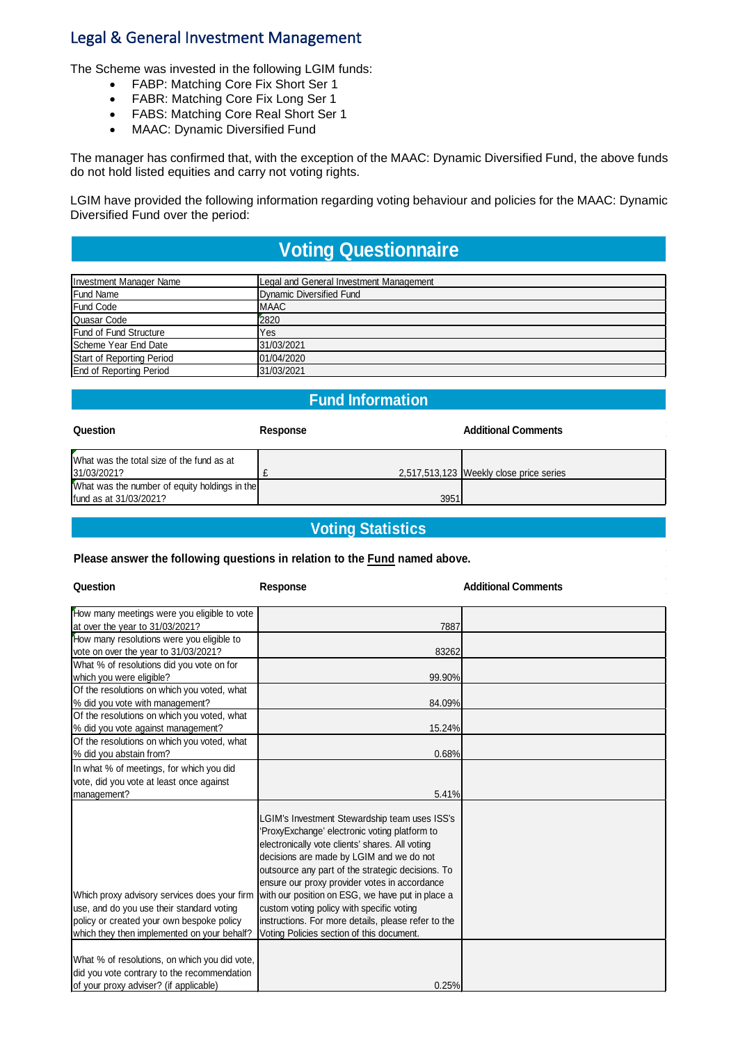## Legal & General Investment Management

The Scheme was invested in the following LGIM funds:

- FABP: Matching Core Fix Short Ser 1
- FABR: Matching Core Fix Long Ser 1
- FABS: Matching Core Real Short Ser 1
- MAAC: Dynamic Diversified Fund

The manager has confirmed that, with the exception of the MAAC: Dynamic Diversified Fund, the above funds do not hold listed equities and carry not voting rights.

LGIM have provided the following information regarding voting behaviour and policies for the MAAC: Dynamic Diversified Fund over the period:

# **Voting Questionnaire**

| Investment Manager Name        | Legal and General Investment Management |
|--------------------------------|-----------------------------------------|
| <b>Fund Name</b>               | Dynamic Diversified Fund                |
| <b>Fund Code</b>               | IMAAC                                   |
| <b>Quasar Code</b>             | 2820                                    |
| <b>Fund of Fund Structure</b>  | Yes                                     |
| Scheme Year End Date           | 31/03/2021                              |
| Start of Reporting Period      | 01/04/2020                              |
| <b>End of Reporting Period</b> | 31/03/2021                              |

### **Fund Information**

| Question                                                 | Response | <b>Additional Comments</b>              |
|----------------------------------------------------------|----------|-----------------------------------------|
| What was the total size of the fund as at<br>31/03/2021? |          | 2,517,513,123 Weekly close price series |
| What was the number of equity holdings in the            |          |                                         |
| fund as at 31/03/2021?                                   | 3951     |                                         |

### **Voting Statistics**

### **Please answer the following questions in relation to the Fund named above.**

| Question                                                                                                                                                                              | Response                                                                                                                                                                                                                                                                                                                                                                                                                                                                                                 | <b>Additional Comments</b> |
|---------------------------------------------------------------------------------------------------------------------------------------------------------------------------------------|----------------------------------------------------------------------------------------------------------------------------------------------------------------------------------------------------------------------------------------------------------------------------------------------------------------------------------------------------------------------------------------------------------------------------------------------------------------------------------------------------------|----------------------------|
| How many meetings were you eligible to vote                                                                                                                                           |                                                                                                                                                                                                                                                                                                                                                                                                                                                                                                          |                            |
| at over the year to 31/03/2021?                                                                                                                                                       | 7887                                                                                                                                                                                                                                                                                                                                                                                                                                                                                                     |                            |
| How many resolutions were you eligible to                                                                                                                                             |                                                                                                                                                                                                                                                                                                                                                                                                                                                                                                          |                            |
| vote on over the year to 31/03/2021?                                                                                                                                                  | 83262                                                                                                                                                                                                                                                                                                                                                                                                                                                                                                    |                            |
| What % of resolutions did you vote on for                                                                                                                                             |                                                                                                                                                                                                                                                                                                                                                                                                                                                                                                          |                            |
| which you were eligible?                                                                                                                                                              | 99.90%                                                                                                                                                                                                                                                                                                                                                                                                                                                                                                   |                            |
| Of the resolutions on which you voted, what                                                                                                                                           |                                                                                                                                                                                                                                                                                                                                                                                                                                                                                                          |                            |
| % did you vote with management?                                                                                                                                                       | 84.09%                                                                                                                                                                                                                                                                                                                                                                                                                                                                                                   |                            |
| Of the resolutions on which you voted, what                                                                                                                                           |                                                                                                                                                                                                                                                                                                                                                                                                                                                                                                          |                            |
| % did you vote against management?                                                                                                                                                    | 15.24%                                                                                                                                                                                                                                                                                                                                                                                                                                                                                                   |                            |
| Of the resolutions on which you voted, what                                                                                                                                           |                                                                                                                                                                                                                                                                                                                                                                                                                                                                                                          |                            |
| % did you abstain from?                                                                                                                                                               | 0.68%                                                                                                                                                                                                                                                                                                                                                                                                                                                                                                    |                            |
| In what % of meetings, for which you did                                                                                                                                              |                                                                                                                                                                                                                                                                                                                                                                                                                                                                                                          |                            |
| vote, did you vote at least once against                                                                                                                                              |                                                                                                                                                                                                                                                                                                                                                                                                                                                                                                          |                            |
| management?                                                                                                                                                                           | 5.41%                                                                                                                                                                                                                                                                                                                                                                                                                                                                                                    |                            |
| Which proxy advisory services does your firm<br>use, and do you use their standard voting<br>policy or created your own bespoke policy<br>which they then implemented on your behalf? | LGIM's Investment Stewardship team uses ISS's<br>'ProxyExchange' electronic voting platform to<br>electronically vote clients' shares. All voting<br>decisions are made by LGIM and we do not<br>outsource any part of the strategic decisions. To<br>ensure our proxy provider votes in accordance<br>with our position on ESG, we have put in place a<br>custom voting policy with specific voting<br>instructions. For more details, please refer to the<br>Voting Policies section of this document. |                            |
| What % of resolutions, on which you did vote,<br>did you vote contrary to the recommendation<br>of your proxy adviser? (if applicable)                                                | 0.25%                                                                                                                                                                                                                                                                                                                                                                                                                                                                                                    |                            |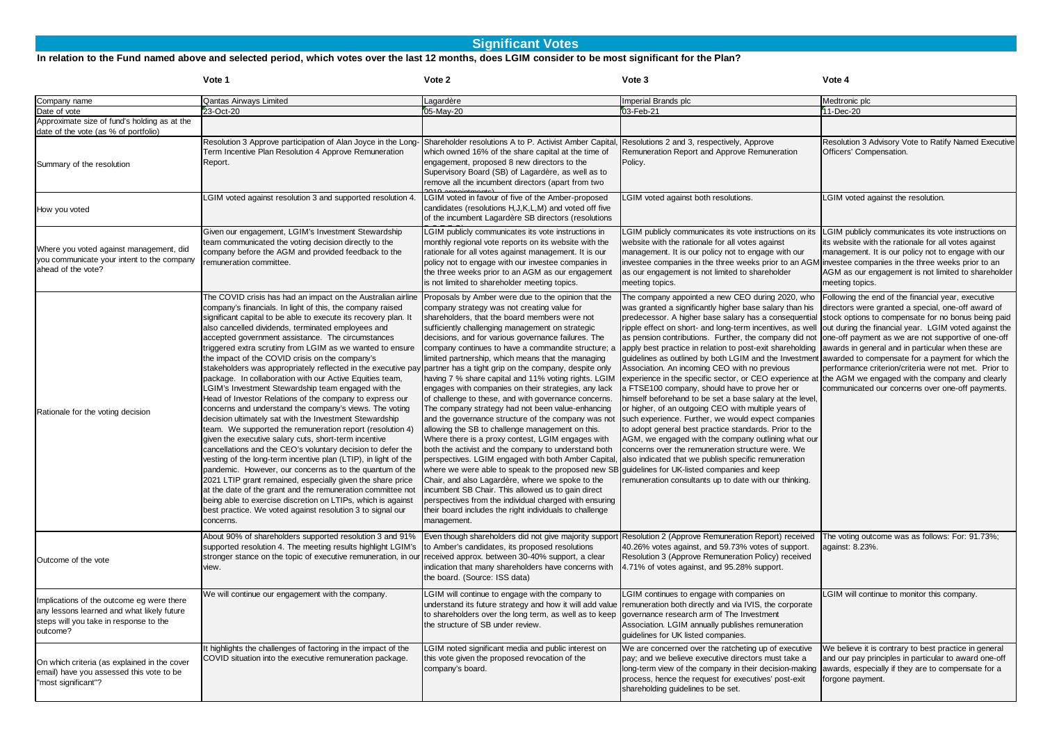### **Significant Votes**

#### **In relation to the Fund named above and selected period, which votes over the last 12 months, does LGIM consider to be most significant for the Plan?**

|                                                                                                                                               | Vote 1                                                                                                                                                                                                                                                                                                                                                                                                                                                                                                                                                                                                                                                                                                                                                                                                                                                                                                                                                                                                                                                                                                                                                                                                                                                                                                                                                                                     | Vote 2                                                                                                                                                                                                                                                                                                                                                                                                                                                                                                                                                                                                                                                                                                                                                                                                                                                                                                                                                                                                                                                                                                                                                                                                                                                                                           | Vote 3                                                                                                                                                                                                                                                                                                                                                                                                                                                                                                                                                                                                                                                                                                                                                                                                                                                                                                                                                                                                                                                                                                                                                                                                                                                                                                               | Vote 4                                                                                                                                                                                                                                                                     |
|-----------------------------------------------------------------------------------------------------------------------------------------------|--------------------------------------------------------------------------------------------------------------------------------------------------------------------------------------------------------------------------------------------------------------------------------------------------------------------------------------------------------------------------------------------------------------------------------------------------------------------------------------------------------------------------------------------------------------------------------------------------------------------------------------------------------------------------------------------------------------------------------------------------------------------------------------------------------------------------------------------------------------------------------------------------------------------------------------------------------------------------------------------------------------------------------------------------------------------------------------------------------------------------------------------------------------------------------------------------------------------------------------------------------------------------------------------------------------------------------------------------------------------------------------------|--------------------------------------------------------------------------------------------------------------------------------------------------------------------------------------------------------------------------------------------------------------------------------------------------------------------------------------------------------------------------------------------------------------------------------------------------------------------------------------------------------------------------------------------------------------------------------------------------------------------------------------------------------------------------------------------------------------------------------------------------------------------------------------------------------------------------------------------------------------------------------------------------------------------------------------------------------------------------------------------------------------------------------------------------------------------------------------------------------------------------------------------------------------------------------------------------------------------------------------------------------------------------------------------------|----------------------------------------------------------------------------------------------------------------------------------------------------------------------------------------------------------------------------------------------------------------------------------------------------------------------------------------------------------------------------------------------------------------------------------------------------------------------------------------------------------------------------------------------------------------------------------------------------------------------------------------------------------------------------------------------------------------------------------------------------------------------------------------------------------------------------------------------------------------------------------------------------------------------------------------------------------------------------------------------------------------------------------------------------------------------------------------------------------------------------------------------------------------------------------------------------------------------------------------------------------------------------------------------------------------------|----------------------------------------------------------------------------------------------------------------------------------------------------------------------------------------------------------------------------------------------------------------------------|
| Company name                                                                                                                                  | <b>Qantas Airways Limited</b>                                                                                                                                                                                                                                                                                                                                                                                                                                                                                                                                                                                                                                                                                                                                                                                                                                                                                                                                                                                                                                                                                                                                                                                                                                                                                                                                                              | Lagardère                                                                                                                                                                                                                                                                                                                                                                                                                                                                                                                                                                                                                                                                                                                                                                                                                                                                                                                                                                                                                                                                                                                                                                                                                                                                                        | Imperial Brands plc                                                                                                                                                                                                                                                                                                                                                                                                                                                                                                                                                                                                                                                                                                                                                                                                                                                                                                                                                                                                                                                                                                                                                                                                                                                                                                  | Medtronic plc                                                                                                                                                                                                                                                              |
| Date of vote                                                                                                                                  | 23-Oct-20                                                                                                                                                                                                                                                                                                                                                                                                                                                                                                                                                                                                                                                                                                                                                                                                                                                                                                                                                                                                                                                                                                                                                                                                                                                                                                                                                                                  | 05-May-20                                                                                                                                                                                                                                                                                                                                                                                                                                                                                                                                                                                                                                                                                                                                                                                                                                                                                                                                                                                                                                                                                                                                                                                                                                                                                        | 03-Feb-21                                                                                                                                                                                                                                                                                                                                                                                                                                                                                                                                                                                                                                                                                                                                                                                                                                                                                                                                                                                                                                                                                                                                                                                                                                                                                                            | 11-Dec-20                                                                                                                                                                                                                                                                  |
| Approximate size of fund's holding as at the<br>date of the vote (as % of portfolio)                                                          |                                                                                                                                                                                                                                                                                                                                                                                                                                                                                                                                                                                                                                                                                                                                                                                                                                                                                                                                                                                                                                                                                                                                                                                                                                                                                                                                                                                            |                                                                                                                                                                                                                                                                                                                                                                                                                                                                                                                                                                                                                                                                                                                                                                                                                                                                                                                                                                                                                                                                                                                                                                                                                                                                                                  |                                                                                                                                                                                                                                                                                                                                                                                                                                                                                                                                                                                                                                                                                                                                                                                                                                                                                                                                                                                                                                                                                                                                                                                                                                                                                                                      |                                                                                                                                                                                                                                                                            |
| Summary of the resolution                                                                                                                     | Resolution 3 Approve participation of Alan Joyce in the Long-<br>Term Incentive Plan Resolution 4 Approve Remuneration<br>Report.                                                                                                                                                                                                                                                                                                                                                                                                                                                                                                                                                                                                                                                                                                                                                                                                                                                                                                                                                                                                                                                                                                                                                                                                                                                          | Shareholder resolutions A to P. Activist Amber Capital<br>which owned 16% of the share capital at the time of<br>engagement, proposed 8 new directors to the<br>Supervisory Board (SB) of Lagardère, as well as to<br>remove all the incumbent directors (apart from two                                                                                                                                                                                                                                                                                                                                                                                                                                                                                                                                                                                                                                                                                                                                                                                                                                                                                                                                                                                                                         | Resolutions 2 and 3, respectively, Approve<br>Remuneration Report and Approve Remuneration<br>Policy.                                                                                                                                                                                                                                                                                                                                                                                                                                                                                                                                                                                                                                                                                                                                                                                                                                                                                                                                                                                                                                                                                                                                                                                                                | Resolution 3 Advisory Vote to Ratify Named Executive<br>Officers' Compensation.                                                                                                                                                                                            |
| How you voted                                                                                                                                 | LGIM voted against resolution 3 and supported resolution 4.                                                                                                                                                                                                                                                                                                                                                                                                                                                                                                                                                                                                                                                                                                                                                                                                                                                                                                                                                                                                                                                                                                                                                                                                                                                                                                                                | LGIM voted in favour of five of the Amber-proposed<br>candidates (resolutions H, J, K, L, M) and voted off five<br>of the incumbent Lagardère SB directors (resolutions                                                                                                                                                                                                                                                                                                                                                                                                                                                                                                                                                                                                                                                                                                                                                                                                                                                                                                                                                                                                                                                                                                                          | LGIM voted against both resolutions.                                                                                                                                                                                                                                                                                                                                                                                                                                                                                                                                                                                                                                                                                                                                                                                                                                                                                                                                                                                                                                                                                                                                                                                                                                                                                 | LGIM voted against the resolution.                                                                                                                                                                                                                                         |
| Where you voted against management, did<br>you communicate your intent to the company<br>ahead of the vote?                                   | Given our engagement, LGIM's Investment Stewardship<br>team communicated the voting decision directly to the<br>company before the AGM and provided feedback to the<br>emuneration committee.                                                                                                                                                                                                                                                                                                                                                                                                                                                                                                                                                                                                                                                                                                                                                                                                                                                                                                                                                                                                                                                                                                                                                                                              | LGIM publicly communicates its vote instructions in<br>monthly regional vote reports on its website with the<br>rationale for all votes against management. It is our<br>policy not to engage with our investee companies in<br>the three weeks prior to an AGM as our engagement<br>is not limited to shareholder meeting topics.                                                                                                                                                                                                                                                                                                                                                                                                                                                                                                                                                                                                                                                                                                                                                                                                                                                                                                                                                               | LGIM publicly communicates its vote instructions on its<br>website with the rationale for all votes against<br>management. It is our policy not to engage with our<br>investee companies in the three weeks prior to an AGM investee companies in the three weeks prior to an<br>as our engagement is not limited to shareholder<br>meeting topics.                                                                                                                                                                                                                                                                                                                                                                                                                                                                                                                                                                                                                                                                                                                                                                                                                                                                                                                                                                  | LGIM publicly communicates its vote instructions on<br>its website with the rationale for all votes against<br>management. It is our policy not to engage with our<br>AGM as our engagement is not limited to shareholder<br>meeting topics.                               |
| Rationale for the voting decision                                                                                                             | The COVID crisis has had an impact on the Australian airline<br>company's financials. In light of this, the company raised<br>significant capital to be able to execute its recovery plan. It<br>also cancelled dividends, terminated employees and<br>accepted government assistance. The circumstances<br>triggered extra scrutiny from LGIM as we wanted to ensure<br>the impact of the COVID crisis on the company's<br>stakeholders was appropriately reflected in the executive pay<br>package. In collaboration with our Active Equities team,<br>LGIM's Investment Stewardship team engaged with the<br>Head of Investor Relations of the company to express our<br>concerns and understand the company's views. The voting<br>decision ultimately sat with the Investment Stewardship<br>team. We supported the remuneration report (resolution 4)<br>given the executive salary cuts, short-term incentive<br>cancellations and the CEO's voluntary decision to defer the<br>vesting of the long-term incentive plan (LTIP), in light of the<br>pandemic. However, our concerns as to the quantum of the<br>2021 LTIP grant remained, especially given the share price<br>at the date of the grant and the remuneration committee not<br>being able to exercise discretion on LTIPs, which is against<br>best practice. We voted against resolution 3 to signal our<br>concerns. | Proposals by Amber were due to the opinion that the<br>company strategy was not creating value for<br>shareholders, that the board members were not<br>sufficiently challenging management on strategic<br>decisions, and for various governance failures. The<br>company continues to have a commandite structure; a<br>limited partnership, which means that the managing<br>partner has a tight grip on the company, despite only<br>having 7 % share capital and 11% voting rights. LGIM<br>engages with companies on their strategies, any lack<br>of challenge to these, and with governance concerns.<br>The company strategy had not been value-enhancing<br>and the governance structure of the company was not<br>allowing the SB to challenge management on this.<br>Where there is a proxy contest, LGIM engages with<br>both the activist and the company to understand both<br>perspectives. LGIM engaged with both Amber Capital,<br>where we were able to speak to the proposed new SB guidelines for UK-listed companies and keep<br>Chair, and also Lagardère, where we spoke to the<br>incumbent SB Chair. This allowed us to gain direct<br>perspectives from the individual charged with ensuring<br>their board includes the right individuals to challenge<br>management. | The company appointed a new CEO during 2020, who<br>was granted a significantly higher base salary than his<br>predecessor. A higher base salary has a consequential stock options to compensate for no bonus being paid<br>ripple effect on short- and long-term incentives, as well out during the financial year. LGIM voted against the<br>as pension contributions. Further, the company did not one-off payment as we are not supportive of one-off<br>apply best practice in relation to post-exit shareholding awards in general and in particular when these are<br>quidelines as outlined by both LGIM and the Investment<br>Association. An incoming CEO with no previous<br>experience in the specific sector, or CEO experience at the AGM we engaged with the company and clearly<br>a FTSE100 company, should have to prove her or<br>himself beforehand to be set a base salary at the level,<br>or higher, of an outgoing CEO with multiple years of<br>such experience. Further, we would expect companies<br>to adopt general best practice standards. Prior to the<br>AGM, we engaged with the company outlining what our<br>concerns over the remuneration structure were. We<br>also indicated that we publish specific remuneration<br>remuneration consultants up to date with our thinking. | Following the end of the financial year, executive<br>directors were granted a special, one-off award of<br>awarded to compensate for a payment for which the<br>performance criterion/criteria were not met. Prior to<br>communicated our concerns over one-off payments. |
| Outcome of the vote                                                                                                                           | About 90% of shareholders supported resolution 3 and 91%<br>supported resolution 4. The meeting results highlight LGIM's<br>stronger stance on the topic of executive remuneration, in our<br>view.                                                                                                                                                                                                                                                                                                                                                                                                                                                                                                                                                                                                                                                                                                                                                                                                                                                                                                                                                                                                                                                                                                                                                                                        | to Amber's candidates, its proposed resolutions<br>received approx. between 30-40% support, a clear<br>indication that many shareholders have concerns with<br>the board. (Source: ISS data)                                                                                                                                                                                                                                                                                                                                                                                                                                                                                                                                                                                                                                                                                                                                                                                                                                                                                                                                                                                                                                                                                                     | Even though shareholders did not give majority support Resolution 2 (Approve Remuneration Report) received<br>40.26% votes against, and 59.73% votes of support.<br>Resolution 3 (Approve Remuneration Policy) received<br>4.71% of votes against, and 95.28% support.                                                                                                                                                                                                                                                                                                                                                                                                                                                                                                                                                                                                                                                                                                                                                                                                                                                                                                                                                                                                                                               | The voting outcome was as follows: For: 91.73%;<br>against: 8.23%.                                                                                                                                                                                                         |
| Implications of the outcome eg were there<br>any lessons learned and what likely future<br>steps will you take in response to the<br>outcome? | We will continue our engagement with the company.                                                                                                                                                                                                                                                                                                                                                                                                                                                                                                                                                                                                                                                                                                                                                                                                                                                                                                                                                                                                                                                                                                                                                                                                                                                                                                                                          | LGIM will continue to engage with the company to<br>to shareholders over the long term, as well as to keep<br>the structure of SB under review.                                                                                                                                                                                                                                                                                                                                                                                                                                                                                                                                                                                                                                                                                                                                                                                                                                                                                                                                                                                                                                                                                                                                                  | LGIM continues to engage with companies on<br>understand its future strategy and how it will add value remuneration both directly and via IVIS, the corporate<br>governance research arm of The Investment<br>Association. LGIM annually publishes remuneration<br>guidelines for UK listed companies.                                                                                                                                                                                                                                                                                                                                                                                                                                                                                                                                                                                                                                                                                                                                                                                                                                                                                                                                                                                                               | LGIM will continue to monitor this company.                                                                                                                                                                                                                                |
| On which criteria (as explained in the cover<br>email) have you assessed this vote to be<br>"most significant"?                               | It highlights the challenges of factoring in the impact of the<br>COVID situation into the executive remuneration package.                                                                                                                                                                                                                                                                                                                                                                                                                                                                                                                                                                                                                                                                                                                                                                                                                                                                                                                                                                                                                                                                                                                                                                                                                                                                 | LGIM noted significant media and public interest on<br>this vote given the proposed revocation of the<br>company's board.                                                                                                                                                                                                                                                                                                                                                                                                                                                                                                                                                                                                                                                                                                                                                                                                                                                                                                                                                                                                                                                                                                                                                                        | We are concerned over the ratcheting up of executive<br>pay; and we believe executive directors must take a<br>long-term view of the company in their decision-making<br>process, hence the request for executives' post-exit<br>shareholding guidelines to be set.                                                                                                                                                                                                                                                                                                                                                                                                                                                                                                                                                                                                                                                                                                                                                                                                                                                                                                                                                                                                                                                  | We believe it is contrary to best practice in general<br>and our pay principles in particular to award one-off<br>awards, especially if they are to compensate for a<br>forgone payment.                                                                                   |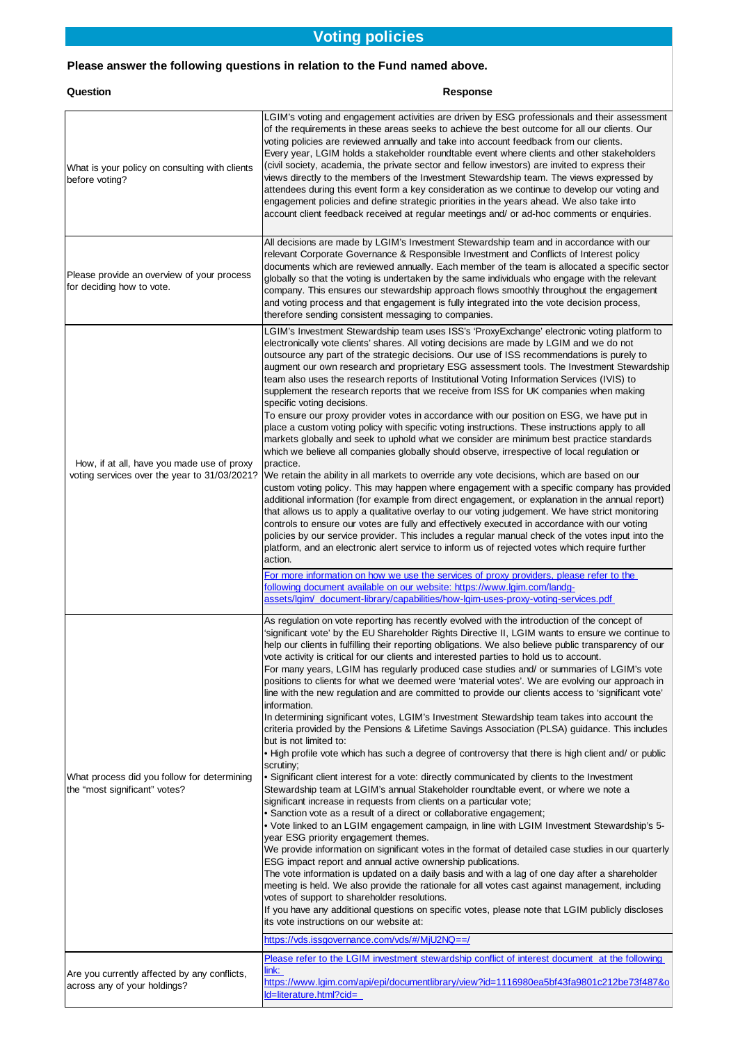## **Voting policies**

### **Please answer the following questions in relation to the Fund named above.**

### **Question**

### **Response**

| What is your policy on consulting with clients<br>before voting?                           | LGIM's voting and engagement activities are driven by ESG professionals and their assessment<br>of the requirements in these areas seeks to achieve the best outcome for all our clients. Our<br>voting policies are reviewed annually and take into account feedback from our clients.<br>Every year, LGIM holds a stakeholder roundtable event where clients and other stakeholders<br>(civil society, academia, the private sector and fellow investors) are invited to express their<br>views directly to the members of the Investment Stewardship team. The views expressed by<br>attendees during this event form a key consideration as we continue to develop our voting and<br>engagement policies and define strategic priorities in the years ahead. We also take into<br>account client feedback received at regular meetings and/ or ad-hoc comments or enquiries.                                                                                                                                                                                                                                                                                                                                                                                                                                                                                                                                                                                                                                                                                                                                                                                                                                                                                                                                                                                                                                                                                                                                                                                                                                                                                                   |
|--------------------------------------------------------------------------------------------|------------------------------------------------------------------------------------------------------------------------------------------------------------------------------------------------------------------------------------------------------------------------------------------------------------------------------------------------------------------------------------------------------------------------------------------------------------------------------------------------------------------------------------------------------------------------------------------------------------------------------------------------------------------------------------------------------------------------------------------------------------------------------------------------------------------------------------------------------------------------------------------------------------------------------------------------------------------------------------------------------------------------------------------------------------------------------------------------------------------------------------------------------------------------------------------------------------------------------------------------------------------------------------------------------------------------------------------------------------------------------------------------------------------------------------------------------------------------------------------------------------------------------------------------------------------------------------------------------------------------------------------------------------------------------------------------------------------------------------------------------------------------------------------------------------------------------------------------------------------------------------------------------------------------------------------------------------------------------------------------------------------------------------------------------------------------------------------------------------------------------------------------------------------------------------|
| Please provide an overview of your process<br>for deciding how to vote.                    | All decisions are made by LGIM's Investment Stewardship team and in accordance with our<br>relevant Corporate Governance & Responsible Investment and Conflicts of Interest policy<br>documents which are reviewed annually. Each member of the team is allocated a specific sector<br>globally so that the voting is undertaken by the same individuals who engage with the relevant<br>company. This ensures our stewardship approach flows smoothly throughout the engagement<br>and voting process and that engagement is fully integrated into the vote decision process,<br>therefore sending consistent messaging to companies.                                                                                                                                                                                                                                                                                                                                                                                                                                                                                                                                                                                                                                                                                                                                                                                                                                                                                                                                                                                                                                                                                                                                                                                                                                                                                                                                                                                                                                                                                                                                             |
| How, if at all, have you made use of proxy<br>voting services over the year to 31/03/2021? | LGIM's Investment Stewardship team uses ISS's 'ProxyExchange' electronic voting platform to<br>electronically vote clients' shares. All voting decisions are made by LGIM and we do not<br>outsource any part of the strategic decisions. Our use of ISS recommendations is purely to<br>augment our own research and proprietary ESG assessment tools. The Investment Stewardship<br>team also uses the research reports of Institutional Voting Information Services (IVIS) to<br>supplement the research reports that we receive from ISS for UK companies when making<br>specific voting decisions.<br>To ensure our proxy provider votes in accordance with our position on ESG, we have put in<br>place a custom voting policy with specific voting instructions. These instructions apply to all<br>markets globally and seek to uphold what we consider are minimum best practice standards<br>which we believe all companies globally should observe, irrespective of local regulation or<br>practice.<br>We retain the ability in all markets to override any vote decisions, which are based on our<br>custom voting policy. This may happen where engagement with a specific company has provided<br>additional information (for example from direct engagement, or explanation in the annual report)<br>that allows us to apply a qualitative overlay to our voting judgement. We have strict monitoring<br>controls to ensure our votes are fully and effectively executed in accordance with our voting<br>policies by our service provider. This includes a regular manual check of the votes input into the<br>platform, and an electronic alert service to inform us of rejected votes which require further<br>action.<br>For more information on how we use the services of proxy providers, please refer to the                                                                                                                                                                                                                                                                                                                                               |
|                                                                                            | ollowing document available on our website: https://www.lgim.com/landg-<br>assets/lgim/_document-library/capabilities/how-lgim-uses-proxy-voting-services.pdf                                                                                                                                                                                                                                                                                                                                                                                                                                                                                                                                                                                                                                                                                                                                                                                                                                                                                                                                                                                                                                                                                                                                                                                                                                                                                                                                                                                                                                                                                                                                                                                                                                                                                                                                                                                                                                                                                                                                                                                                                      |
| What process did you follow for determining<br>the "most significant" votes?               | As regulation on vote reporting has recently evolved with the introduction of the concept of<br>significant vote' by the EU Shareholder Rights Directive II, LGIM wants to ensure we continue to<br>help our clients in fulfilling their reporting obligations. We also believe public transparency of our<br>vote activity is critical for our clients and interested parties to hold us to account.<br>For many years, LGIM has regularly produced case studies and/ or summaries of LGIM's vote<br>positions to clients for what we deemed were 'material votes'. We are evolving our approach in<br>line with the new regulation and are committed to provide our clients access to 'significant vote'<br>information.<br>In determining significant votes, LGIM's Investment Stewardship team takes into account the<br>criteria provided by the Pensions & Lifetime Savings Association (PLSA) guidance. This includes<br>but is not limited to:<br>. High profile vote which has such a degree of controversy that there is high client and/ or public<br>scrutiny;<br>• Significant client interest for a vote: directly communicated by clients to the Investment<br>Stewardship team at LGIM's annual Stakeholder roundtable event, or where we note a<br>significant increase in requests from clients on a particular vote;<br>• Sanction vote as a result of a direct or collaborative engagement;<br>• Vote linked to an LGIM engagement campaign, in line with LGIM Investment Stewardship's 5-<br>year ESG priority engagement themes.<br>We provide information on significant votes in the format of detailed case studies in our quarterly<br>ESG impact report and annual active ownership publications.<br>The vote information is updated on a daily basis and with a lag of one day after a shareholder<br>meeting is held. We also provide the rationale for all votes cast against management, including<br>votes of support to shareholder resolutions.<br>If you have any additional questions on specific votes, please note that LGIM publicly discloses<br>its vote instructions on our website at:<br>https://vds.issgovernance.com/vds/#/MjU2NQ==/ |
|                                                                                            | Please refer to the LGIM investment stewardship conflict of interest document at the following                                                                                                                                                                                                                                                                                                                                                                                                                                                                                                                                                                                                                                                                                                                                                                                                                                                                                                                                                                                                                                                                                                                                                                                                                                                                                                                                                                                                                                                                                                                                                                                                                                                                                                                                                                                                                                                                                                                                                                                                                                                                                     |
| Are you currently affected by any conflicts,<br>across any of your holdings?               | ink:<br>https://www.lgim.com/api/epi/documentlibrary/view?id=1116980ea5bf43fa9801c212be73f487&o<br>d=literature.html?cid=                                                                                                                                                                                                                                                                                                                                                                                                                                                                                                                                                                                                                                                                                                                                                                                                                                                                                                                                                                                                                                                                                                                                                                                                                                                                                                                                                                                                                                                                                                                                                                                                                                                                                                                                                                                                                                                                                                                                                                                                                                                          |